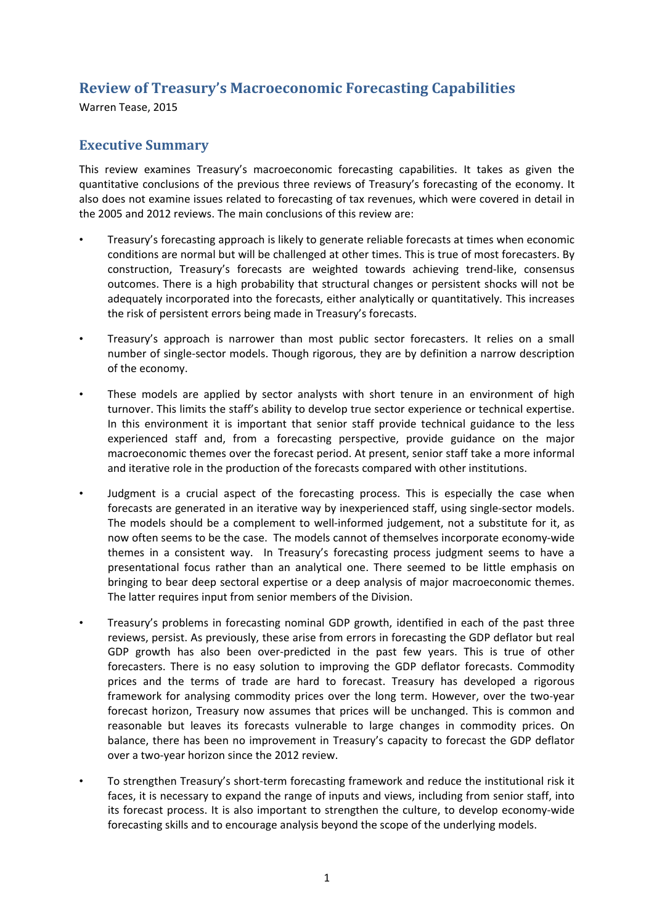# **Review of Treasury's Macroeconomic Forecasting Capabilities**

Warren Tease, 2015

# **Executive Summary**

This review examines Treasury's macroeconomic forecasting capabilities. It takes as given the quantitative conclusions of the previous three reviews of Treasury's forecasting of the economy. It also does not examine issues related to forecasting of tax revenues, which were covered in detail in the 2005 and 2012 reviews. The main conclusions of this review are:

- Treasury's forecasting approach is likely to generate reliable forecasts at times when economic conditions are normal but will be challenged at other times. This is true of most forecasters. By construction, Treasury's forecasts are weighted towards achieving trend-like, consensus outcomes. There is a high probability that structural changes or persistent shocks will not be adequately incorporated into the forecasts, either analytically or quantitatively. This increases the risk of persistent errors being made in Treasury's forecasts.
- Treasury's approach is narrower than most public sector forecasters. It relies on a small number of single-sector models. Though rigorous, they are by definition a narrow description of the economy.
- These models are applied by sector analysts with short tenure in an environment of high turnover. This limits the staff's ability to develop true sector experience or technical expertise. In this environment it is important that senior staff provide technical guidance to the less experienced staff and, from a forecasting perspective, provide guidance on the major macroeconomic themes over the forecast period. At present, senior staff take a more informal and iterative role in the production of the forecasts compared with other institutions.
- Judgment is a crucial aspect of the forecasting process. This is especially the case when forecasts are generated in an iterative way by inexperienced staff, using single-sector models. The models should be a complement to well-informed judgement, not a substitute for it, as now often seems to be the case. The models cannot of themselves incorporate economy-wide themes in a consistent way. In Treasury's forecasting process judgment seems to have a presentational focus rather than an analytical one. There seemed to be little emphasis on bringing to bear deep sectoral expertise or a deep analysis of major macroeconomic themes. The latter requires input from senior members of the Division.
- Treasury's problems in forecasting nominal GDP growth, identified in each of the past three reviews, persist. As previously, these arise from errors in forecasting the GDP deflator but real GDP growth has also been over-predicted in the past few years. This is true of other forecasters. There is no easy solution to improving the GDP deflator forecasts. Commodity prices and the terms of trade are hard to forecast. Treasury has developed a rigorous framework for analysing commodity prices over the long term. However, over the two-year forecast horizon, Treasury now assumes that prices will be unchanged. This is common and reasonable but leaves its forecasts vulnerable to large changes in commodity prices. On balance, there has been no improvement in Treasury's capacity to forecast the GDP deflator over a two-year horizon since the 2012 review.
- To strengthen Treasury's short-term forecasting framework and reduce the institutional risk it faces, it is necessary to expand the range of inputs and views, including from senior staff, into its forecast process. It is also important to strengthen the culture, to develop economy-wide forecasting skills and to encourage analysis beyond the scope of the underlying models.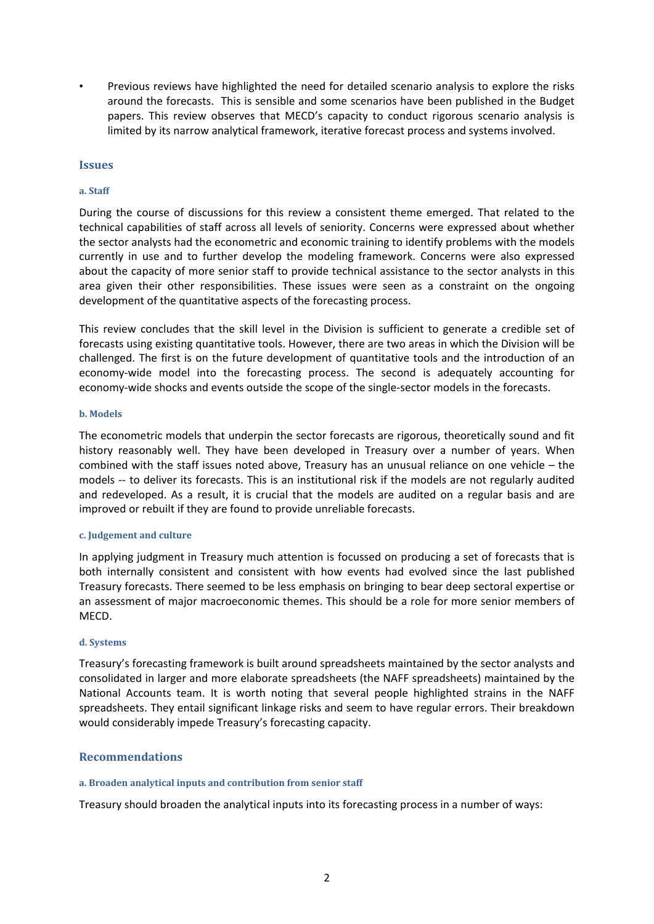• Previous reviews have highlighted the need for detailed scenario analysis to explore the risks around the forecasts. This is sensible and some scenarios have been published in the Budget papers. This review observes that MECD's capacity to conduct rigorous scenario analysis is limited by its narrow analytical framework, iterative forecast process and systems involved.

### **Issues**

#### **a. Staff**

During the course of discussions for this review a consistent theme emerged. That related to the technical capabilities of staff across all levels of seniority. Concerns were expressed about whether the sector analysts had the econometric and economic training to identify problems with the models currently in use and to further develop the modeling framework. Concerns were also expressed about the capacity of more senior staff to provide technical assistance to the sector analysts in this area given their other responsibilities. These issues were seen as a constraint on the ongoing development of the quantitative aspects of the forecasting process.

This review concludes that the skill level in the Division is sufficient to generate a credible set of forecasts using existing quantitative tools. However, there are two areas in which the Division will be challenged. The first is on the future development of quantitative tools and the introduction of an economy-wide model into the forecasting process. The second is adequately accounting for economy-wide shocks and events outside the scope of the single-sector models in the forecasts.

#### **b. Models**

The econometric models that underpin the sector forecasts are rigorous, theoretically sound and fit history reasonably well. They have been developed in Treasury over a number of years. When combined with the staff issues noted above, Treasury has an unusual reliance on one vehicle – the models -- to deliver its forecasts. This is an institutional risk if the models are not regularly audited and redeveloped. As a result, it is crucial that the models are audited on a regular basis and are improved or rebuilt if they are found to provide unreliable forecasts.

#### **c. Judgement and culture**

In applying judgment in Treasury much attention is focussed on producing a set of forecasts that is both internally consistent and consistent with how events had evolved since the last published Treasury forecasts. There seemed to be less emphasis on bringing to bear deep sectoral expertise or an assessment of major macroeconomic themes. This should be a role for more senior members of MECD.

#### **d. Systems**

Treasury's forecasting framework is built around spreadsheets maintained by the sector analysts and consolidated in larger and more elaborate spreadsheets (the NAFF spreadsheets) maintained by the National Accounts team. It is worth noting that several people highlighted strains in the NAFF spreadsheets. They entail significant linkage risks and seem to have regular errors. Their breakdown would considerably impede Treasury's forecasting capacity.

### **Recommendations**

#### **a. Broaden analytical inputs and contribution from senior staff**

Treasury should broaden the analytical inputs into its forecasting process in a number of ways: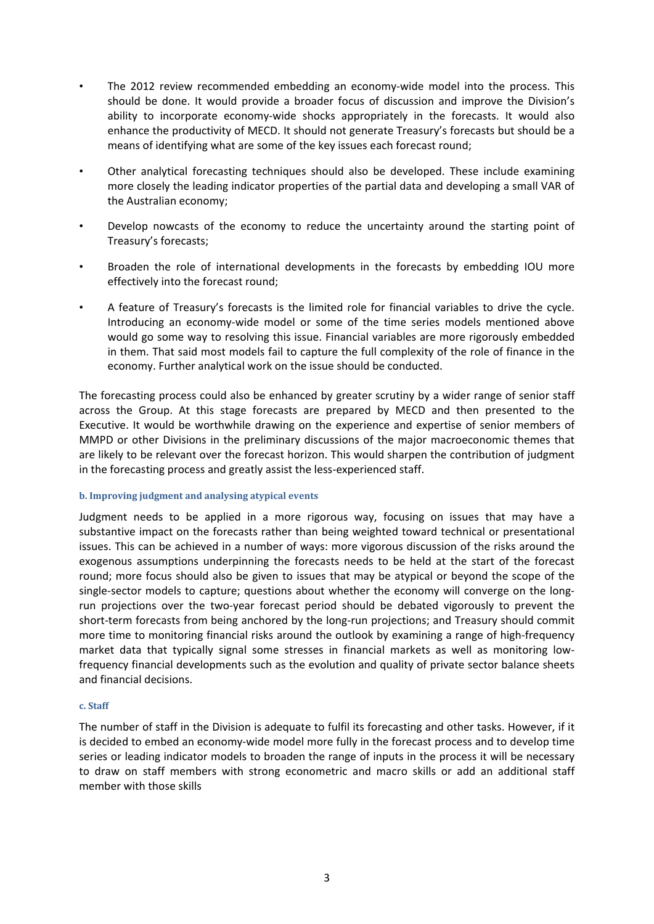- The 2012 review recommended embedding an economy-wide model into the process. This should be done. It would provide a broader focus of discussion and improve the Division's ability to incorporate economy-wide shocks appropriately in the forecasts. It would also enhance the productivity of MECD. It should not generate Treasury's forecasts but should be a means of identifying what are some of the key issues each forecast round;
- Other analytical forecasting techniques should also be developed. These include examining more closely the leading indicator properties of the partial data and developing a small VAR of the Australian economy;
- Develop nowcasts of the economy to reduce the uncertainty around the starting point of Treasury's forecasts;
- Broaden the role of international developments in the forecasts by embedding IOU more effectively into the forecast round;
- A feature of Treasury's forecasts is the limited role for financial variables to drive the cycle. Introducing an economy-wide model or some of the time series models mentioned above would go some way to resolving this issue. Financial variables are more rigorously embedded in them. That said most models fail to capture the full complexity of the role of finance in the economy. Further analytical work on the issue should be conducted.

The forecasting process could also be enhanced by greater scrutiny by a wider range of senior staff across the Group. At this stage forecasts are prepared by MECD and then presented to the Executive. It would be worthwhile drawing on the experience and expertise of senior members of MMPD or other Divisions in the preliminary discussions of the major macroeconomic themes that are likely to be relevant over the forecast horizon. This would sharpen the contribution of judgment in the forecasting process and greatly assist the less-experienced staff.

#### **b. Improving judgment and analysing atypical events**

Judgment needs to be applied in a more rigorous way, focusing on issues that may have a substantive impact on the forecasts rather than being weighted toward technical or presentational issues. This can be achieved in a number of ways: more vigorous discussion of the risks around the exogenous assumptions underpinning the forecasts needs to be held at the start of the forecast round; more focus should also be given to issues that may be atypical or beyond the scope of the single-sector models to capture; questions about whether the economy will converge on the longrun projections over the two-year forecast period should be debated vigorously to prevent the short-term forecasts from being anchored by the long-run projections; and Treasury should commit more time to monitoring financial risks around the outlook by examining a range of high-frequency market data that typically signal some stresses in financial markets as well as monitoring lowfrequency financial developments such as the evolution and quality of private sector balance sheets and financial decisions.

#### **c. Staff**

The number of staff in the Division is adequate to fulfil its forecasting and other tasks. However, if it is decided to embed an economy-wide model more fully in the forecast process and to develop time series or leading indicator models to broaden the range of inputs in the process it will be necessary to draw on staff members with strong econometric and macro skills or add an additional staff member with those skills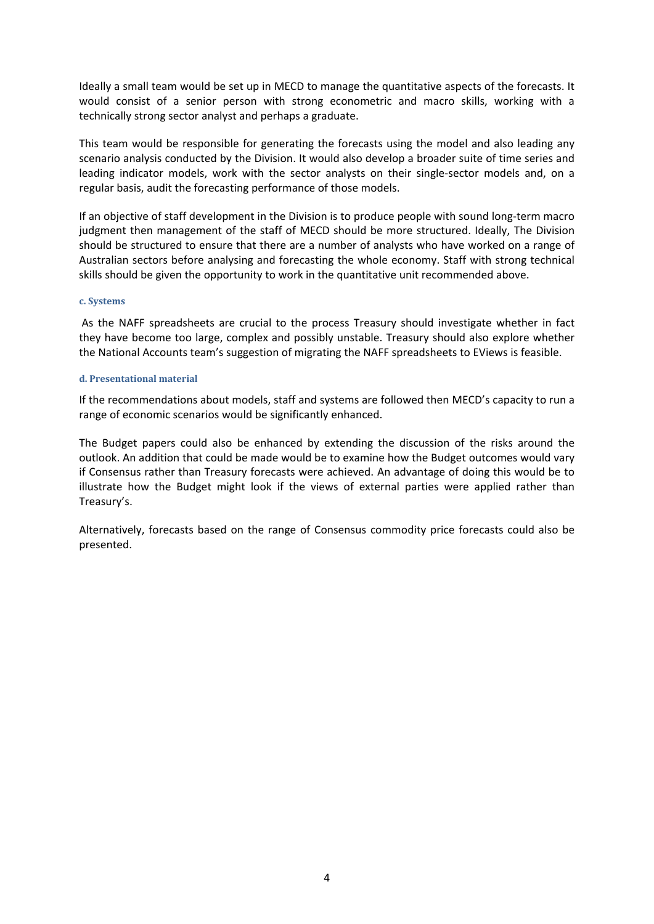Ideally a small team would be set up in MECD to manage the quantitative aspects of the forecasts. It would consist of a senior person with strong econometric and macro skills, working with a technically strong sector analyst and perhaps a graduate.

This team would be responsible for generating the forecasts using the model and also leading any scenario analysis conducted by the Division. It would also develop a broader suite of time series and leading indicator models, work with the sector analysts on their single-sector models and, on a regular basis, audit the forecasting performance of those models.

If an objective of staff development in the Division is to produce people with sound long-term macro judgment then management of the staff of MECD should be more structured. Ideally, The Division should be structured to ensure that there are a number of analysts who have worked on a range of Australian sectors before analysing and forecasting the whole economy. Staff with strong technical skills should be given the opportunity to work in the quantitative unit recommended above.

#### **c. Systems**

As the NAFF spreadsheets are crucial to the process Treasury should investigate whether in fact they have become too large, complex and possibly unstable. Treasury should also explore whether the National Accounts team's suggestion of migrating the NAFF spreadsheets to EViews is feasible.

#### **d. Presentational material**

If the recommendations about models, staff and systems are followed then MECD's capacity to run a range of economic scenarios would be significantly enhanced.

The Budget papers could also be enhanced by extending the discussion of the risks around the outlook. An addition that could be made would be to examine how the Budget outcomes would vary if Consensus rather than Treasury forecasts were achieved. An advantage of doing this would be to illustrate how the Budget might look if the views of external parties were applied rather than Treasury's.

Alternatively, forecasts based on the range of Consensus commodity price forecasts could also be presented.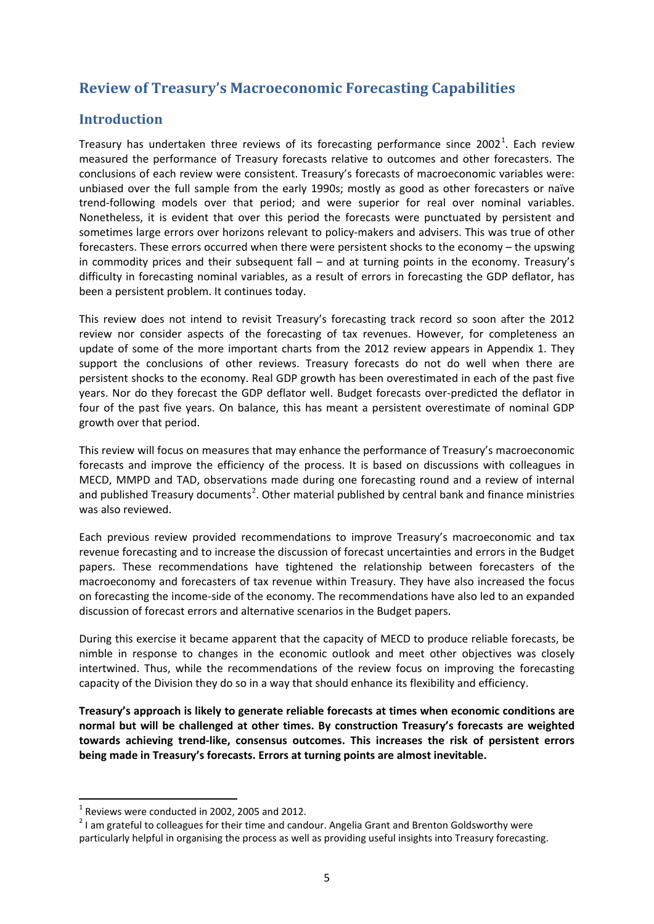# **Review of Treasury's Macroeconomic Forecasting Capabilities**

# **Introduction**

Treasury has undertaken three reviews of its forecasting performance since 2002<sup>[1](#page-4-0)</sup>. Each review measured the performance of Treasury forecasts relative to outcomes and other forecasters. The conclusions of each review were consistent. Treasury's forecasts of macroeconomic variables were: unbiased over the full sample from the early 1990s; mostly as good as other forecasters or naïve trend-following models over that period; and were superior for real over nominal variables. Nonetheless, it is evident that over this period the forecasts were punctuated by persistent and sometimes large errors over horizons relevant to policy-makers and advisers. This was true of other forecasters. These errors occurred when there were persistent shocks to the economy – the upswing in commodity prices and their subsequent fall – and at turning points in the economy. Treasury's difficulty in forecasting nominal variables, as a result of errors in forecasting the GDP deflator, has been a persistent problem. It continues today.

This review does not intend to revisit Treasury's forecasting track record so soon after the 2012 review nor consider aspects of the forecasting of tax revenues. However, for completeness an update of some of the more important charts from the 2012 review appears in Appendix 1. They support the conclusions of other reviews. Treasury forecasts do not do well when there are persistent shocks to the economy. Real GDP growth has been overestimated in each of the past five years. Nor do they forecast the GDP deflator well. Budget forecasts over-predicted the deflator in four of the past five years. On balance, this has meant a persistent overestimate of nominal GDP growth over that period.

This review will focus on measures that may enhance the performance of Treasury's macroeconomic forecasts and improve the efficiency of the process. It is based on discussions with colleagues in MECD, MMPD and TAD, observations made during one forecasting round and a review of internal and published Treasury documents<sup>[2](#page-4-1)</sup>. Other material published by central bank and finance ministries was also reviewed.

Each previous review provided recommendations to improve Treasury's macroeconomic and tax revenue forecasting and to increase the discussion of forecast uncertainties and errors in the Budget papers. These recommendations have tightened the relationship between forecasters of the macroeconomy and forecasters of tax revenue within Treasury. They have also increased the focus on forecasting the income-side of the economy. The recommendations have also led to an expanded discussion of forecast errors and alternative scenarios in the Budget papers.

During this exercise it became apparent that the capacity of MECD to produce reliable forecasts, be nimble in response to changes in the economic outlook and meet other objectives was closely intertwined. Thus, while the recommendations of the review focus on improving the forecasting capacity of the Division they do so in a way that should enhance its flexibility and efficiency.

**Treasury's approach is likely to generate reliable forecasts at times when economic conditions are normal but will be challenged at other times. By construction Treasury's forecasts are weighted towards achieving trend-like, consensus outcomes. This increases the risk of persistent errors being made in Treasury's forecasts. Errors at turning points are almost inevitable.** 

<span id="page-4-1"></span>

<span id="page-4-0"></span><sup>&</sup>lt;sup>1</sup> Reviews were conducted in 2002, 2005 and 2012.<br><sup>2</sup> I am grateful to colleagues for their time and candour. Angelia Grant and Brenton Goldsworthy were particularly helpful in organising the process as well as providing useful insights into Treasury forecasting.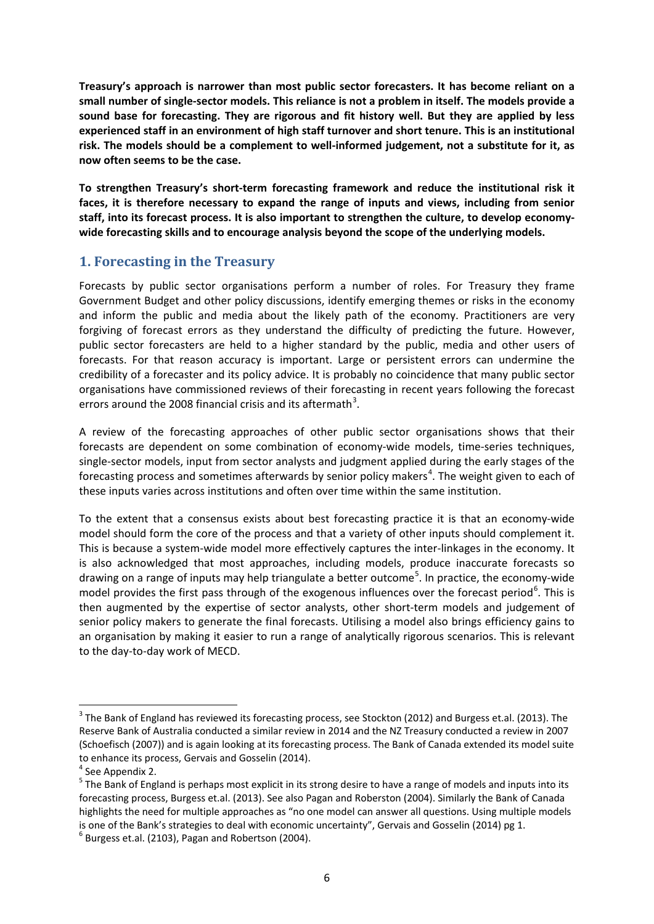**Treasury's approach is narrower than most public sector forecasters. It has become reliant on a small number of single-sector models. This reliance is not a problem in itself. The models provide a sound base for forecasting. They are rigorous and fit history well. But they are applied by less experienced staff in an environment of high staff turnover and short tenure. This is an institutional risk. The models should be a complement to well-informed judgement, not a substitute for it, as now often seems to be the case.** 

**To strengthen Treasury's short-term forecasting framework and reduce the institutional risk it faces, it is therefore necessary to expand the range of inputs and views, including from senior staff, into its forecast process. It is also important to strengthen the culture, to develop economywide forecasting skills and to encourage analysis beyond the scope of the underlying models.** 

# **1. Forecasting in the Treasury**

Forecasts by public sector organisations perform a number of roles. For Treasury they frame Government Budget and other policy discussions, identify emerging themes or risks in the economy and inform the public and media about the likely path of the economy. Practitioners are very forgiving of forecast errors as they understand the difficulty of predicting the future. However, public sector forecasters are held to a higher standard by the public, media and other users of forecasts. For that reason accuracy is important. Large or persistent errors can undermine the credibility of a forecaster and its policy advice. It is probably no coincidence that many public sector organisations have commissioned reviews of their forecasting in recent years following the forecast errors around the 2008 financial crisis and its aftermath<sup>[3](#page-5-0)</sup>.

A review of the forecasting approaches of other public sector organisations shows that their forecasts are dependent on some combination of economy-wide models, time-series techniques, single-sector models, input from sector analysts and judgment applied during the early stages of the forecasting process and sometimes afterwards by senior policy makers<sup>[4](#page-5-1)</sup>. The weight given to each of these inputs varies across institutions and often over time within the same institution.

To the extent that a consensus exists about best forecasting practice it is that an economy-wide model should form the core of the process and that a variety of other inputs should complement it. This is because a system-wide model more effectively captures the inter-linkages in the economy. It is also acknowledged that most approaches, including models, produce inaccurate forecasts so drawing on a range of inputs may help triangulate a better outcome<sup>[5](#page-5-2)</sup>. In practice, the economy-wide model provides the first pass through of the exogenous influences over the forecast period<sup>[6](#page-5-3)</sup>. This is then augmented by the expertise of sector analysts, other short-term models and judgement of senior policy makers to generate the final forecasts. Utilising a model also brings efficiency gains to an organisation by making it easier to run a range of analytically rigorous scenarios. This is relevant to the day-to-day work of MECD.

<span id="page-5-0"></span><sup>&</sup>lt;sup>3</sup> The Bank of England has reviewed its forecasting process, see Stockton (2012) and Burgess et.al. (2013). The Reserve Bank of Australia conducted a similar review in 2014 and the NZ Treasury conducted a review in 2007 (Schoefisch (2007)) and is again looking at its forecasting process. The Bank of Canada extended its model suite to enhance its process, Gervais and Gosselin (2014).

<span id="page-5-1"></span> $4$  See Appendix 2.

<span id="page-5-2"></span><sup>&</sup>lt;sup>5</sup> The Bank of England is perhaps most explicit in its strong desire to have a range of models and inputs into its forecasting process, Burgess et.al. (2013). See also Pagan and Roberston (2004). Similarly the Bank of Canada highlights the need for multiple approaches as "no one model can answer all questions. Using multiple models is one of the Bank's strategies to deal with economic uncertainty", Gervais and Gosselin (2014) pg 1.  $6$  Burgess et.al. (2103), Pagan and Robertson (2004).

<span id="page-5-3"></span>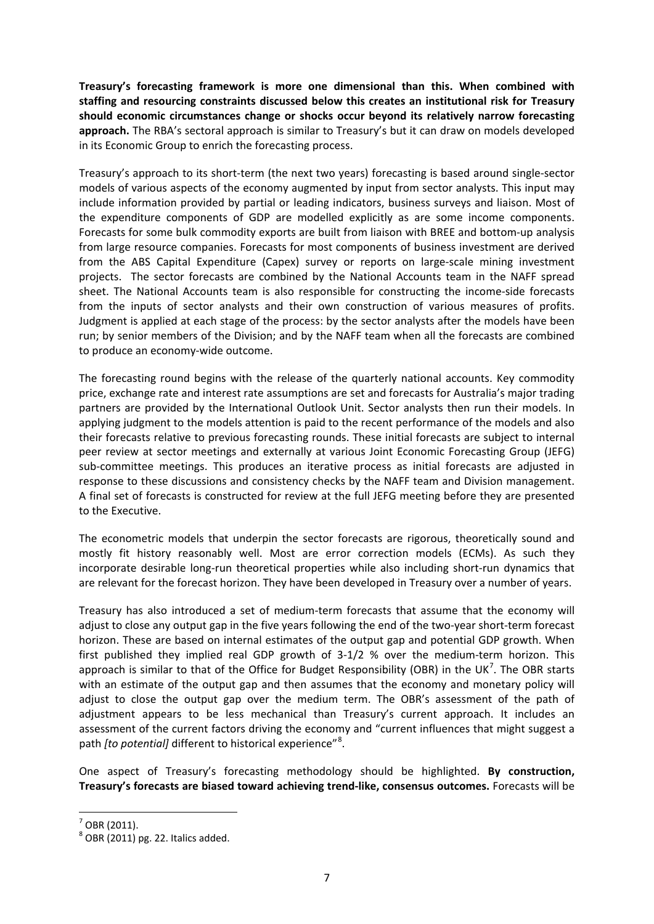**Treasury's forecasting framework is more one dimensional than this. When combined with staffing and resourcing constraints discussed below this creates an institutional risk for Treasury should economic circumstances change or shocks occur beyond its relatively narrow forecasting approach.** The RBA's sectoral approach is similar to Treasury's but it can draw on models developed in its Economic Group to enrich the forecasting process.

Treasury's approach to its short-term (the next two years) forecasting is based around single-sector models of various aspects of the economy augmented by input from sector analysts. This input may include information provided by partial or leading indicators, business surveys and liaison. Most of the expenditure components of GDP are modelled explicitly as are some income components. Forecasts for some bulk commodity exports are built from liaison with BREE and bottom-up analysis from large resource companies. Forecasts for most components of business investment are derived from the ABS Capital Expenditure (Capex) survey or reports on large-scale mining investment projects. The sector forecasts are combined by the National Accounts team in the NAFF spread sheet. The National Accounts team is also responsible for constructing the income-side forecasts from the inputs of sector analysts and their own construction of various measures of profits. Judgment is applied at each stage of the process: by the sector analysts after the models have been run; by senior members of the Division; and by the NAFF team when all the forecasts are combined to produce an economy-wide outcome.

The forecasting round begins with the release of the quarterly national accounts. Key commodity price, exchange rate and interest rate assumptions are set and forecasts for Australia's major trading partners are provided by the International Outlook Unit. Sector analysts then run their models. In applying judgment to the models attention is paid to the recent performance of the models and also their forecasts relative to previous forecasting rounds. These initial forecasts are subject to internal peer review at sector meetings and externally at various Joint Economic Forecasting Group (JEFG) sub-committee meetings. This produces an iterative process as initial forecasts are adjusted in response to these discussions and consistency checks by the NAFF team and Division management. A final set of forecasts is constructed for review at the full JEFG meeting before they are presented to the Executive.

The econometric models that underpin the sector forecasts are rigorous, theoretically sound and mostly fit history reasonably well. Most are error correction models (ECMs). As such they incorporate desirable long-run theoretical properties while also including short-run dynamics that are relevant for the forecast horizon. They have been developed in Treasury over a number of years.

Treasury has also introduced a set of medium-term forecasts that assume that the economy will adjust to close any output gap in the five years following the end of the two-year short-term forecast horizon. These are based on internal estimates of the output gap and potential GDP growth. When first published they implied real GDP growth of 3-1/2 % over the medium-term horizon. This approach is similar to that of the Office for Budget Responsibility (OBR) in the UK<sup>[7](#page-6-0)</sup>. The OBR starts with an estimate of the output gap and then assumes that the economy and monetary policy will adjust to close the output gap over the medium term. The OBR's assessment of the path of adjustment appears to be less mechanical than Treasury's current approach. It includes an assessment of the current factors driving the economy and "current influences that might suggest a path *[to potential]* different to historical experience"<sup>[8](#page-6-1)</sup>.

One aspect of Treasury's forecasting methodology should be highlighted. **By construction, Treasury's forecasts are biased toward achieving trend-like, consensus outcomes.** Forecasts will be

<span id="page-6-0"></span> $<sup>7</sup>$  OBR (2011).</sup>

<span id="page-6-1"></span> $8$  OBR (2011) pg. 22. Italics added.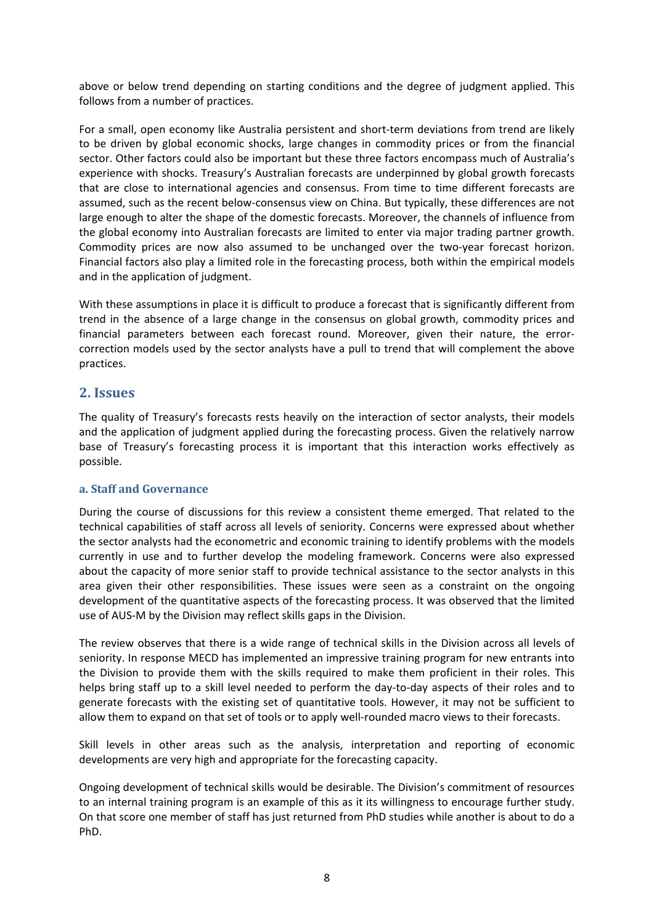above or below trend depending on starting conditions and the degree of judgment applied. This follows from a number of practices.

For a small, open economy like Australia persistent and short-term deviations from trend are likely to be driven by global economic shocks, large changes in commodity prices or from the financial sector. Other factors could also be important but these three factors encompass much of Australia's experience with shocks. Treasury's Australian forecasts are underpinned by global growth forecasts that are close to international agencies and consensus. From time to time different forecasts are assumed, such as the recent below-consensus view on China. But typically, these differences are not large enough to alter the shape of the domestic forecasts. Moreover, the channels of influence from the global economy into Australian forecasts are limited to enter via major trading partner growth. Commodity prices are now also assumed to be unchanged over the two-year forecast horizon. Financial factors also play a limited role in the forecasting process, both within the empirical models and in the application of judgment.

With these assumptions in place it is difficult to produce a forecast that is significantly different from trend in the absence of a large change in the consensus on global growth, commodity prices and financial parameters between each forecast round. Moreover, given their nature, the errorcorrection models used by the sector analysts have a pull to trend that will complement the above practices.

# **2. Issues**

The quality of Treasury's forecasts rests heavily on the interaction of sector analysts, their models and the application of judgment applied during the forecasting process. Given the relatively narrow base of Treasury's forecasting process it is important that this interaction works effectively as possible.

### **a. Staff and Governance**

During the course of discussions for this review a consistent theme emerged. That related to the technical capabilities of staff across all levels of seniority. Concerns were expressed about whether the sector analysts had the econometric and economic training to identify problems with the models currently in use and to further develop the modeling framework. Concerns were also expressed about the capacity of more senior staff to provide technical assistance to the sector analysts in this area given their other responsibilities. These issues were seen as a constraint on the ongoing development of the quantitative aspects of the forecasting process. It was observed that the limited use of AUS-M by the Division may reflect skills gaps in the Division.

The review observes that there is a wide range of technical skills in the Division across all levels of seniority. In response MECD has implemented an impressive training program for new entrants into the Division to provide them with the skills required to make them proficient in their roles. This helps bring staff up to a skill level needed to perform the day-to-day aspects of their roles and to generate forecasts with the existing set of quantitative tools. However, it may not be sufficient to allow them to expand on that set of tools or to apply well-rounded macro views to their forecasts.

Skill levels in other areas such as the analysis, interpretation and reporting of economic developments are very high and appropriate for the forecasting capacity.

Ongoing development of technical skills would be desirable. The Division's commitment of resources to an internal training program is an example of this as it its willingness to encourage further study. On that score one member of staff has just returned from PhD studies while another is about to do a PhD.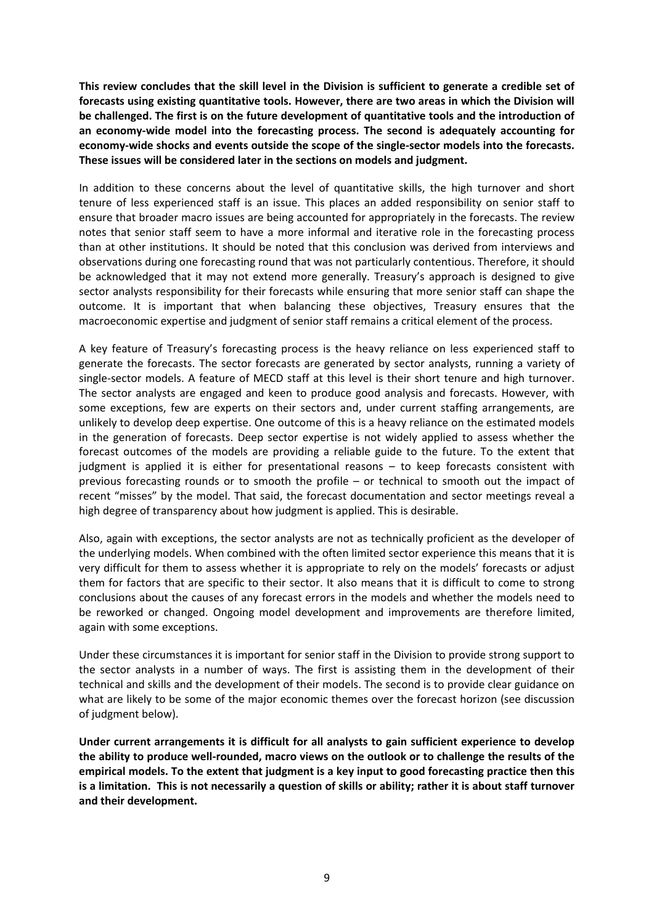**This review concludes that the skill level in the Division is sufficient to generate a credible set of forecasts using existing quantitative tools. However, there are two areas in which the Division will be challenged. The first is on the future development of quantitative tools and the introduction of an economy-wide model into the forecasting process. The second is adequately accounting for economy-wide shocks and events outside the scope of the single-sector models into the forecasts. These issues will be considered later in the sections on models and judgment.**

In addition to these concerns about the level of quantitative skills, the high turnover and short tenure of less experienced staff is an issue. This places an added responsibility on senior staff to ensure that broader macro issues are being accounted for appropriately in the forecasts. The review notes that senior staff seem to have a more informal and iterative role in the forecasting process than at other institutions. It should be noted that this conclusion was derived from interviews and observations during one forecasting round that was not particularly contentious. Therefore, it should be acknowledged that it may not extend more generally. Treasury's approach is designed to give sector analysts responsibility for their forecasts while ensuring that more senior staff can shape the outcome. It is important that when balancing these objectives, Treasury ensures that the macroeconomic expertise and judgment of senior staff remains a critical element of the process.

A key feature of Treasury's forecasting process is the heavy reliance on less experienced staff to generate the forecasts. The sector forecasts are generated by sector analysts, running a variety of single-sector models. A feature of MECD staff at this level is their short tenure and high turnover. The sector analysts are engaged and keen to produce good analysis and forecasts. However, with some exceptions, few are experts on their sectors and, under current staffing arrangements, are unlikely to develop deep expertise. One outcome of this is a heavy reliance on the estimated models in the generation of forecasts. Deep sector expertise is not widely applied to assess whether the forecast outcomes of the models are providing a reliable guide to the future. To the extent that judgment is applied it is either for presentational reasons – to keep forecasts consistent with previous forecasting rounds or to smooth the profile – or technical to smooth out the impact of recent "misses" by the model. That said, the forecast documentation and sector meetings reveal a high degree of transparency about how judgment is applied. This is desirable.

Also, again with exceptions, the sector analysts are not as technically proficient as the developer of the underlying models. When combined with the often limited sector experience this means that it is very difficult for them to assess whether it is appropriate to rely on the models' forecasts or adjust them for factors that are specific to their sector. It also means that it is difficult to come to strong conclusions about the causes of any forecast errors in the models and whether the models need to be reworked or changed. Ongoing model development and improvements are therefore limited, again with some exceptions.

Under these circumstances it is important for senior staff in the Division to provide strong support to the sector analysts in a number of ways. The first is assisting them in the development of their technical and skills and the development of their models. The second is to provide clear guidance on what are likely to be some of the major economic themes over the forecast horizon (see discussion of judgment below).

**Under current arrangements it is difficult for all analysts to gain sufficient experience to develop the ability to produce well-rounded, macro views on the outlook or to challenge the results of the empirical models. To the extent that judgment is a key input to good forecasting practice then this is a limitation. This is not necessarily a question of skills or ability; rather it is about staff turnover and their development.**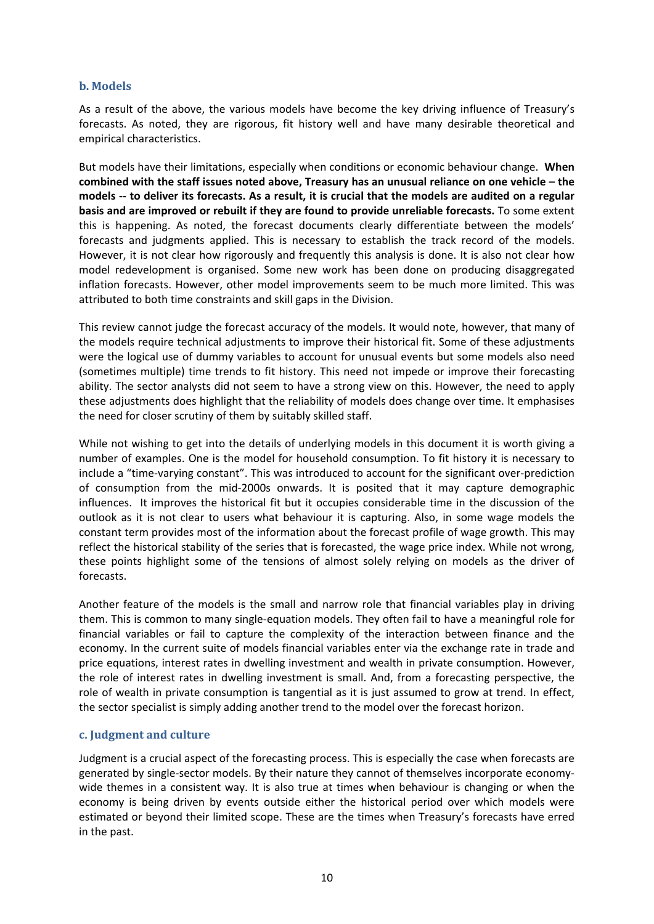### **b. Models**

As a result of the above, the various models have become the key driving influence of Treasury's forecasts. As noted, they are rigorous, fit history well and have many desirable theoretical and empirical characteristics.

But models have their limitations, especially when conditions or economic behaviour change. **When combined with the staff issues noted above, Treasury has an unusual reliance on one vehicle – the models -- to deliver its forecasts. As a result, it is crucial that the models are audited on a regular basis and are improved or rebuilt if they are found to provide unreliable forecasts.** To some extent this is happening. As noted, the forecast documents clearly differentiate between the models' forecasts and judgments applied. This is necessary to establish the track record of the models. However, it is not clear how rigorously and frequently this analysis is done. It is also not clear how model redevelopment is organised. Some new work has been done on producing disaggregated inflation forecasts. However, other model improvements seem to be much more limited. This was attributed to both time constraints and skill gaps in the Division.

This review cannot judge the forecast accuracy of the models. It would note, however, that many of the models require technical adjustments to improve their historical fit. Some of these adjustments were the logical use of dummy variables to account for unusual events but some models also need (sometimes multiple) time trends to fit history. This need not impede or improve their forecasting ability. The sector analysts did not seem to have a strong view on this. However, the need to apply these adjustments does highlight that the reliability of models does change over time. It emphasises the need for closer scrutiny of them by suitably skilled staff.

While not wishing to get into the details of underlying models in this document it is worth giving a number of examples. One is the model for household consumption. To fit history it is necessary to include a "time-varying constant". This was introduced to account for the significant over-prediction of consumption from the mid-2000s onwards. It is posited that it may capture demographic influences. It improves the historical fit but it occupies considerable time in the discussion of the outlook as it is not clear to users what behaviour it is capturing. Also, in some wage models the constant term provides most of the information about the forecast profile of wage growth. This may reflect the historical stability of the series that is forecasted, the wage price index. While not wrong, these points highlight some of the tensions of almost solely relying on models as the driver of forecasts.

Another feature of the models is the small and narrow role that financial variables play in driving them. This is common to many single-equation models. They often fail to have a meaningful role for financial variables or fail to capture the complexity of the interaction between finance and the economy. In the current suite of models financial variables enter via the exchange rate in trade and price equations, interest rates in dwelling investment and wealth in private consumption. However, the role of interest rates in dwelling investment is small. And, from a forecasting perspective, the role of wealth in private consumption is tangential as it is just assumed to grow at trend. In effect, the sector specialist is simply adding another trend to the model over the forecast horizon.

### **c. Judgment and culture**

Judgment is a crucial aspect of the forecasting process. This is especially the case when forecasts are generated by single-sector models. By their nature they cannot of themselves incorporate economywide themes in a consistent way. It is also true at times when behaviour is changing or when the economy is being driven by events outside either the historical period over which models were estimated or beyond their limited scope. These are the times when Treasury's forecasts have erred in the past.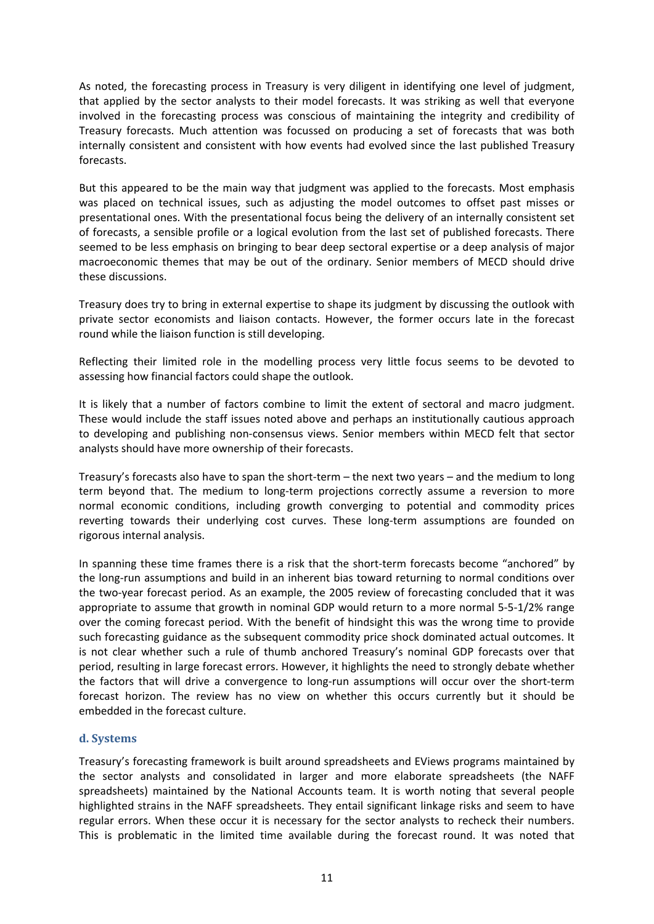As noted, the forecasting process in Treasury is very diligent in identifying one level of judgment, that applied by the sector analysts to their model forecasts. It was striking as well that everyone involved in the forecasting process was conscious of maintaining the integrity and credibility of Treasury forecasts. Much attention was focussed on producing a set of forecasts that was both internally consistent and consistent with how events had evolved since the last published Treasury forecasts.

But this appeared to be the main way that judgment was applied to the forecasts. Most emphasis was placed on technical issues, such as adjusting the model outcomes to offset past misses or presentational ones. With the presentational focus being the delivery of an internally consistent set of forecasts, a sensible profile or a logical evolution from the last set of published forecasts. There seemed to be less emphasis on bringing to bear deep sectoral expertise or a deep analysis of major macroeconomic themes that may be out of the ordinary. Senior members of MECD should drive these discussions.

Treasury does try to bring in external expertise to shape its judgment by discussing the outlook with private sector economists and liaison contacts. However, the former occurs late in the forecast round while the liaison function is still developing.

Reflecting their limited role in the modelling process very little focus seems to be devoted to assessing how financial factors could shape the outlook.

It is likely that a number of factors combine to limit the extent of sectoral and macro judgment. These would include the staff issues noted above and perhaps an institutionally cautious approach to developing and publishing non-consensus views. Senior members within MECD felt that sector analysts should have more ownership of their forecasts.

Treasury's forecasts also have to span the short-term – the next two years – and the medium to long term beyond that. The medium to long-term projections correctly assume a reversion to more normal economic conditions, including growth converging to potential and commodity prices reverting towards their underlying cost curves. These long-term assumptions are founded on rigorous internal analysis.

In spanning these time frames there is a risk that the short-term forecasts become "anchored" by the long-run assumptions and build in an inherent bias toward returning to normal conditions over the two-year forecast period. As an example, the 2005 review of forecasting concluded that it was appropriate to assume that growth in nominal GDP would return to a more normal 5-5-1/2% range over the coming forecast period. With the benefit of hindsight this was the wrong time to provide such forecasting guidance as the subsequent commodity price shock dominated actual outcomes. It is not clear whether such a rule of thumb anchored Treasury's nominal GDP forecasts over that period, resulting in large forecast errors. However, it highlights the need to strongly debate whether the factors that will drive a convergence to long-run assumptions will occur over the short-term forecast horizon. The review has no view on whether this occurs currently but it should be embedded in the forecast culture.

### **d. Systems**

Treasury's forecasting framework is built around spreadsheets and EViews programs maintained by the sector analysts and consolidated in larger and more elaborate spreadsheets (the NAFF spreadsheets) maintained by the National Accounts team. It is worth noting that several people highlighted strains in the NAFF spreadsheets. They entail significant linkage risks and seem to have regular errors. When these occur it is necessary for the sector analysts to recheck their numbers. This is problematic in the limited time available during the forecast round. It was noted that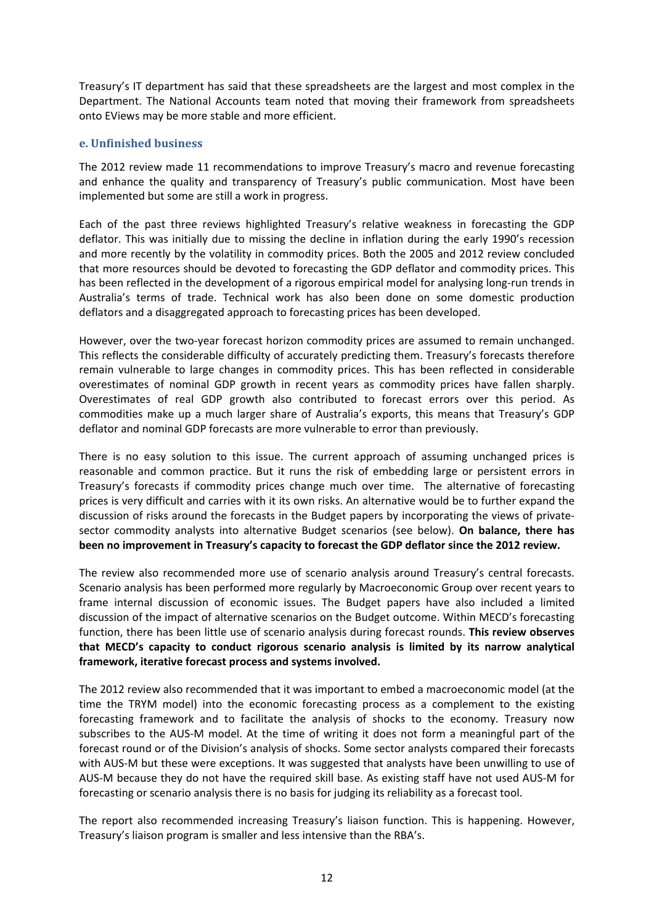Treasury's IT department has said that these spreadsheets are the largest and most complex in the Department. The National Accounts team noted that moving their framework from spreadsheets onto EViews may be more stable and more efficient.

### **e. Unfinished business**

The 2012 review made 11 recommendations to improve Treasury's macro and revenue forecasting and enhance the quality and transparency of Treasury's public communication. Most have been implemented but some are still a work in progress.

Each of the past three reviews highlighted Treasury's relative weakness in forecasting the GDP deflator. This was initially due to missing the decline in inflation during the early 1990's recession and more recently by the volatility in commodity prices. Both the 2005 and 2012 review concluded that more resources should be devoted to forecasting the GDP deflator and commodity prices. This has been reflected in the development of a rigorous empirical model for analysing long-run trends in Australia's terms of trade. Technical work has also been done on some domestic production deflators and a disaggregated approach to forecasting prices has been developed.

However, over the two-year forecast horizon commodity prices are assumed to remain unchanged. This reflects the considerable difficulty of accurately predicting them. Treasury's forecasts therefore remain vulnerable to large changes in commodity prices. This has been reflected in considerable overestimates of nominal GDP growth in recent years as commodity prices have fallen sharply. Overestimates of real GDP growth also contributed to forecast errors over this period. As commodities make up a much larger share of Australia's exports, this means that Treasury's GDP deflator and nominal GDP forecasts are more vulnerable to error than previously.

There is no easy solution to this issue. The current approach of assuming unchanged prices is reasonable and common practice. But it runs the risk of embedding large or persistent errors in Treasury's forecasts if commodity prices change much over time. The alternative of forecasting prices is very difficult and carries with it its own risks. An alternative would be to further expand the discussion of risks around the forecasts in the Budget papers by incorporating the views of privatesector commodity analysts into alternative Budget scenarios (see below). **On balance, there has been no improvement in Treasury's capacity to forecast the GDP deflator since the 2012 review.**

The review also recommended more use of scenario analysis around Treasury's central forecasts. Scenario analysis has been performed more regularly by Macroeconomic Group over recent years to frame internal discussion of economic issues. The Budget papers have also included a limited discussion of the impact of alternative scenarios on the Budget outcome. Within MECD's forecasting function, there has been little use of scenario analysis during forecast rounds. **This review observes that MECD's capacity to conduct rigorous scenario analysis is limited by its narrow analytical framework, iterative forecast process and systems involved.**

The 2012 review also recommended that it was important to embed a macroeconomic model (at the time the TRYM model) into the economic forecasting process as a complement to the existing forecasting framework and to facilitate the analysis of shocks to the economy. Treasury now subscribes to the AUS-M model. At the time of writing it does not form a meaningful part of the forecast round or of the Division's analysis of shocks. Some sector analysts compared their forecasts with AUS-M but these were exceptions. It was suggested that analysts have been unwilling to use of AUS-M because they do not have the required skill base. As existing staff have not used AUS-M for forecasting or scenario analysis there is no basis for judging its reliability as a forecast tool.

The report also recommended increasing Treasury's liaison function. This is happening. However, Treasury's liaison program is smaller and less intensive than the RBA's.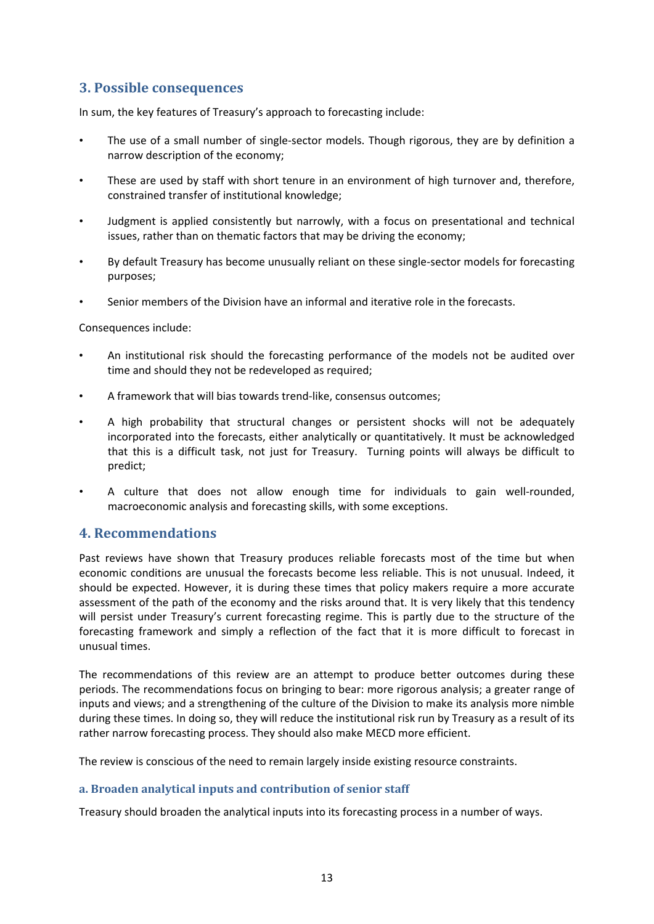# **3. Possible consequences**

In sum, the key features of Treasury's approach to forecasting include:

- The use of a small number of single-sector models. Though rigorous, they are by definition a narrow description of the economy;
- These are used by staff with short tenure in an environment of high turnover and, therefore, constrained transfer of institutional knowledge;
- Judgment is applied consistently but narrowly, with a focus on presentational and technical issues, rather than on thematic factors that may be driving the economy;
- By default Treasury has become unusually reliant on these single-sector models for forecasting purposes;
- Senior members of the Division have an informal and iterative role in the forecasts.

Consequences include:

- An institutional risk should the forecasting performance of the models not be audited over time and should they not be redeveloped as required;
- A framework that will bias towards trend-like, consensus outcomes;
- A high probability that structural changes or persistent shocks will not be adequately incorporated into the forecasts, either analytically or quantitatively. It must be acknowledged that this is a difficult task, not just for Treasury. Turning points will always be difficult to predict;
- A culture that does not allow enough time for individuals to gain well-rounded, macroeconomic analysis and forecasting skills, with some exceptions.

# **4. Recommendations**

Past reviews have shown that Treasury produces reliable forecasts most of the time but when economic conditions are unusual the forecasts become less reliable. This is not unusual. Indeed, it should be expected. However, it is during these times that policy makers require a more accurate assessment of the path of the economy and the risks around that. It is very likely that this tendency will persist under Treasury's current forecasting regime. This is partly due to the structure of the forecasting framework and simply a reflection of the fact that it is more difficult to forecast in unusual times.

The recommendations of this review are an attempt to produce better outcomes during these periods. The recommendations focus on bringing to bear: more rigorous analysis; a greater range of inputs and views; and a strengthening of the culture of the Division to make its analysis more nimble during these times. In doing so, they will reduce the institutional risk run by Treasury as a result of its rather narrow forecasting process. They should also make MECD more efficient.

The review is conscious of the need to remain largely inside existing resource constraints.

### **a. Broaden analytical inputs and contribution of senior staff**

Treasury should broaden the analytical inputs into its forecasting process in a number of ways.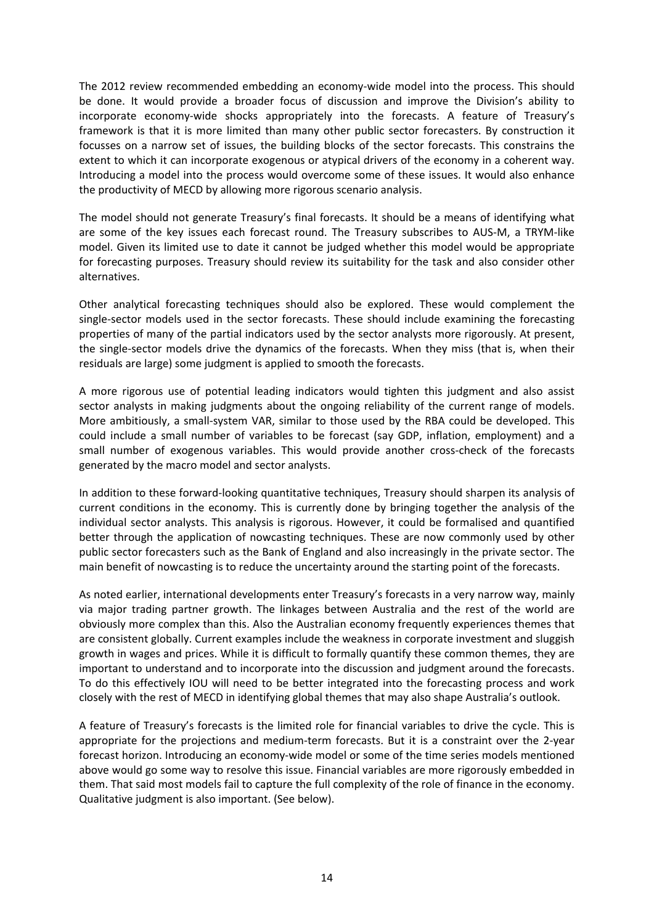The 2012 review recommended embedding an economy-wide model into the process. This should be done. It would provide a broader focus of discussion and improve the Division's ability to incorporate economy-wide shocks appropriately into the forecasts. A feature of Treasury's framework is that it is more limited than many other public sector forecasters. By construction it focusses on a narrow set of issues, the building blocks of the sector forecasts. This constrains the extent to which it can incorporate exogenous or atypical drivers of the economy in a coherent way. Introducing a model into the process would overcome some of these issues. It would also enhance the productivity of MECD by allowing more rigorous scenario analysis.

The model should not generate Treasury's final forecasts. It should be a means of identifying what are some of the key issues each forecast round. The Treasury subscribes to AUS-M, a TRYM-like model. Given its limited use to date it cannot be judged whether this model would be appropriate for forecasting purposes. Treasury should review its suitability for the task and also consider other alternatives.

Other analytical forecasting techniques should also be explored. These would complement the single-sector models used in the sector forecasts. These should include examining the forecasting properties of many of the partial indicators used by the sector analysts more rigorously. At present, the single-sector models drive the dynamics of the forecasts. When they miss (that is, when their residuals are large) some judgment is applied to smooth the forecasts.

A more rigorous use of potential leading indicators would tighten this judgment and also assist sector analysts in making judgments about the ongoing reliability of the current range of models. More ambitiously, a small-system VAR, similar to those used by the RBA could be developed. This could include a small number of variables to be forecast (say GDP, inflation, employment) and a small number of exogenous variables. This would provide another cross-check of the forecasts generated by the macro model and sector analysts.

In addition to these forward-looking quantitative techniques, Treasury should sharpen its analysis of current conditions in the economy. This is currently done by bringing together the analysis of the individual sector analysts. This analysis is rigorous. However, it could be formalised and quantified better through the application of nowcasting techniques. These are now commonly used by other public sector forecasters such as the Bank of England and also increasingly in the private sector. The main benefit of nowcasting is to reduce the uncertainty around the starting point of the forecasts.

As noted earlier, international developments enter Treasury's forecasts in a very narrow way, mainly via major trading partner growth. The linkages between Australia and the rest of the world are obviously more complex than this. Also the Australian economy frequently experiences themes that are consistent globally. Current examples include the weakness in corporate investment and sluggish growth in wages and prices. While it is difficult to formally quantify these common themes, they are important to understand and to incorporate into the discussion and judgment around the forecasts. To do this effectively IOU will need to be better integrated into the forecasting process and work closely with the rest of MECD in identifying global themes that may also shape Australia's outlook.

A feature of Treasury's forecasts is the limited role for financial variables to drive the cycle. This is appropriate for the projections and medium-term forecasts. But it is a constraint over the 2-year forecast horizon. Introducing an economy-wide model or some of the time series models mentioned above would go some way to resolve this issue. Financial variables are more rigorously embedded in them. That said most models fail to capture the full complexity of the role of finance in the economy. Qualitative judgment is also important. (See below).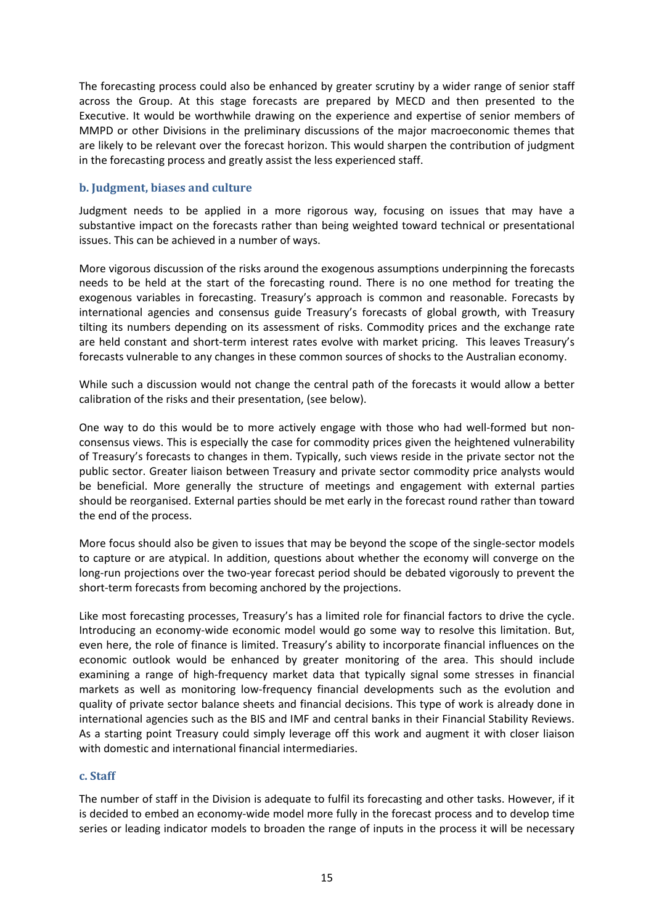The forecasting process could also be enhanced by greater scrutiny by a wider range of senior staff across the Group. At this stage forecasts are prepared by MECD and then presented to the Executive. It would be worthwhile drawing on the experience and expertise of senior members of MMPD or other Divisions in the preliminary discussions of the major macroeconomic themes that are likely to be relevant over the forecast horizon. This would sharpen the contribution of judgment in the forecasting process and greatly assist the less experienced staff.

### **b. Judgment, biases and culture**

Judgment needs to be applied in a more rigorous way, focusing on issues that may have a substantive impact on the forecasts rather than being weighted toward technical or presentational issues. This can be achieved in a number of ways.

More vigorous discussion of the risks around the exogenous assumptions underpinning the forecasts needs to be held at the start of the forecasting round. There is no one method for treating the exogenous variables in forecasting. Treasury's approach is common and reasonable. Forecasts by international agencies and consensus guide Treasury's forecasts of global growth, with Treasury tilting its numbers depending on its assessment of risks. Commodity prices and the exchange rate are held constant and short-term interest rates evolve with market pricing. This leaves Treasury's forecasts vulnerable to any changes in these common sources of shocks to the Australian economy.

While such a discussion would not change the central path of the forecasts it would allow a better calibration of the risks and their presentation, (see below).

One way to do this would be to more actively engage with those who had well-formed but nonconsensus views. This is especially the case for commodity prices given the heightened vulnerability of Treasury's forecasts to changes in them. Typically, such views reside in the private sector not the public sector. Greater liaison between Treasury and private sector commodity price analysts would be beneficial. More generally the structure of meetings and engagement with external parties should be reorganised. External parties should be met early in the forecast round rather than toward the end of the process.

More focus should also be given to issues that may be beyond the scope of the single-sector models to capture or are atypical. In addition, questions about whether the economy will converge on the long-run projections over the two-year forecast period should be debated vigorously to prevent the short-term forecasts from becoming anchored by the projections.

Like most forecasting processes, Treasury's has a limited role for financial factors to drive the cycle. Introducing an economy-wide economic model would go some way to resolve this limitation. But, even here, the role of finance is limited. Treasury's ability to incorporate financial influences on the economic outlook would be enhanced by greater monitoring of the area. This should include examining a range of high-frequency market data that typically signal some stresses in financial markets as well as monitoring low-frequency financial developments such as the evolution and quality of private sector balance sheets and financial decisions. This type of work is already done in international agencies such as the BIS and IMF and central banks in their Financial Stability Reviews. As a starting point Treasury could simply leverage off this work and augment it with closer liaison with domestic and international financial intermediaries.

### **c. Staff**

The number of staff in the Division is adequate to fulfil its forecasting and other tasks. However, if it is decided to embed an economy-wide model more fully in the forecast process and to develop time series or leading indicator models to broaden the range of inputs in the process it will be necessary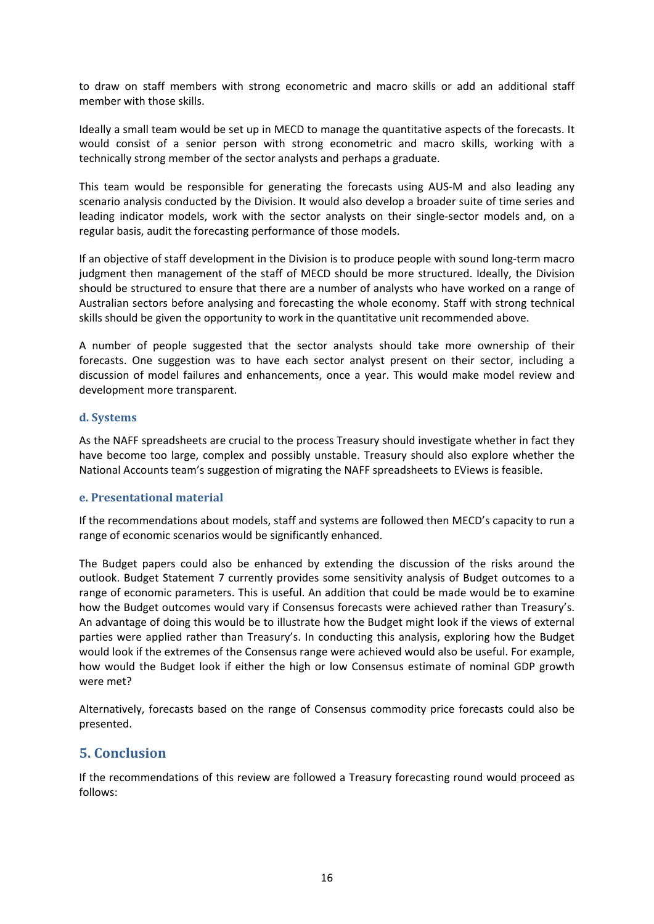to draw on staff members with strong econometric and macro skills or add an additional staff member with those skills.

Ideally a small team would be set up in MECD to manage the quantitative aspects of the forecasts. It would consist of a senior person with strong econometric and macro skills, working with a technically strong member of the sector analysts and perhaps a graduate.

This team would be responsible for generating the forecasts using AUS-M and also leading any scenario analysis conducted by the Division. It would also develop a broader suite of time series and leading indicator models, work with the sector analysts on their single-sector models and, on a regular basis, audit the forecasting performance of those models.

If an objective of staff development in the Division is to produce people with sound long-term macro judgment then management of the staff of MECD should be more structured. Ideally, the Division should be structured to ensure that there are a number of analysts who have worked on a range of Australian sectors before analysing and forecasting the whole economy. Staff with strong technical skills should be given the opportunity to work in the quantitative unit recommended above.

A number of people suggested that the sector analysts should take more ownership of their forecasts. One suggestion was to have each sector analyst present on their sector, including a discussion of model failures and enhancements, once a year. This would make model review and development more transparent.

### **d. Systems**

As the NAFF spreadsheets are crucial to the process Treasury should investigate whether in fact they have become too large, complex and possibly unstable. Treasury should also explore whether the National Accounts team's suggestion of migrating the NAFF spreadsheets to EViews is feasible.

### **e. Presentational material**

If the recommendations about models, staff and systems are followed then MECD's capacity to run a range of economic scenarios would be significantly enhanced.

The Budget papers could also be enhanced by extending the discussion of the risks around the outlook. Budget Statement 7 currently provides some sensitivity analysis of Budget outcomes to a range of economic parameters. This is useful. An addition that could be made would be to examine how the Budget outcomes would vary if Consensus forecasts were achieved rather than Treasury's. An advantage of doing this would be to illustrate how the Budget might look if the views of external parties were applied rather than Treasury's. In conducting this analysis, exploring how the Budget would look if the extremes of the Consensus range were achieved would also be useful. For example, how would the Budget look if either the high or low Consensus estimate of nominal GDP growth were met?

Alternatively, forecasts based on the range of Consensus commodity price forecasts could also be presented.

# **5. Conclusion**

If the recommendations of this review are followed a Treasury forecasting round would proceed as follows: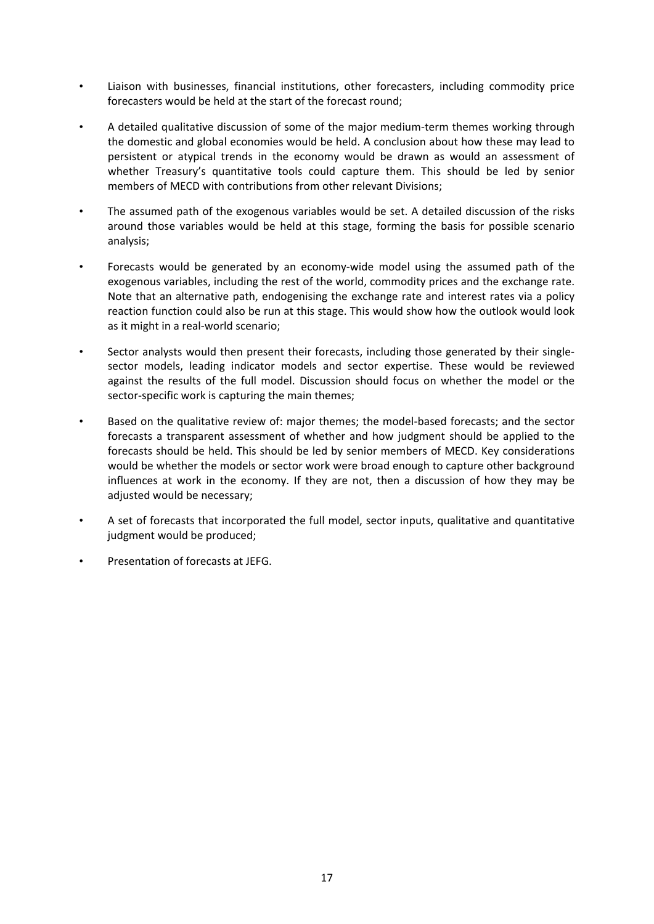- Liaison with businesses, financial institutions, other forecasters, including commodity price forecasters would be held at the start of the forecast round;
- A detailed qualitative discussion of some of the major medium-term themes working through the domestic and global economies would be held. A conclusion about how these may lead to persistent or atypical trends in the economy would be drawn as would an assessment of whether Treasury's quantitative tools could capture them. This should be led by senior members of MECD with contributions from other relevant Divisions;
- The assumed path of the exogenous variables would be set. A detailed discussion of the risks around those variables would be held at this stage, forming the basis for possible scenario analysis;
- Forecasts would be generated by an economy-wide model using the assumed path of the exogenous variables, including the rest of the world, commodity prices and the exchange rate. Note that an alternative path, endogenising the exchange rate and interest rates via a policy reaction function could also be run at this stage. This would show how the outlook would look as it might in a real-world scenario;
- Sector analysts would then present their forecasts, including those generated by their singlesector models, leading indicator models and sector expertise. These would be reviewed against the results of the full model. Discussion should focus on whether the model or the sector-specific work is capturing the main themes;
- Based on the qualitative review of: major themes; the model-based forecasts; and the sector forecasts a transparent assessment of whether and how judgment should be applied to the forecasts should be held. This should be led by senior members of MECD. Key considerations would be whether the models or sector work were broad enough to capture other background influences at work in the economy. If they are not, then a discussion of how they may be adjusted would be necessary;
- A set of forecasts that incorporated the full model, sector inputs, qualitative and quantitative judgment would be produced;
- Presentation of forecasts at JEFG.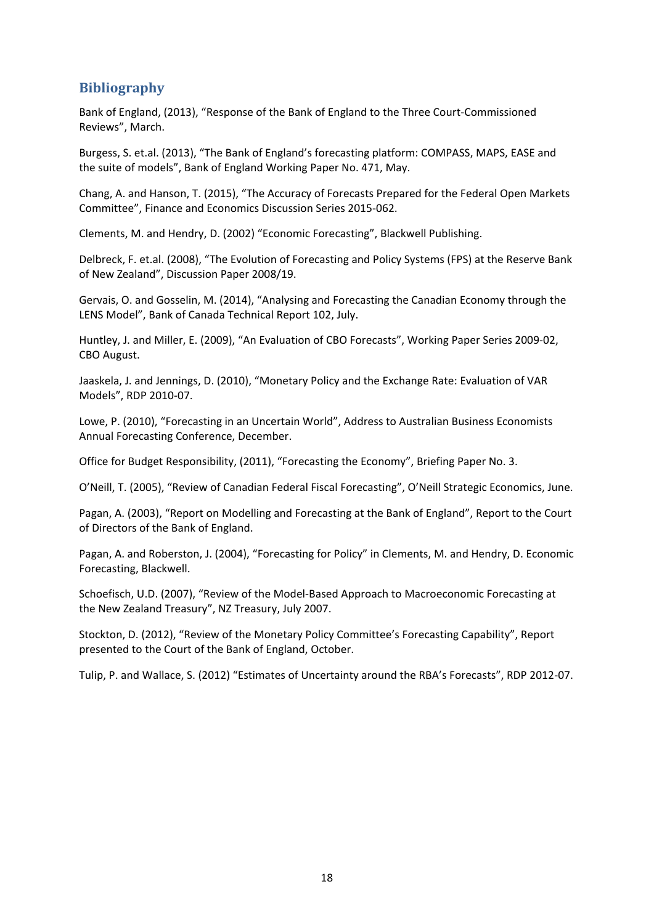# **Bibliography**

Bank of England, (2013), "Response of the Bank of England to the Three Court-Commissioned Reviews", March.

Burgess, S. et.al. (2013), "The Bank of England's forecasting platform: COMPASS, MAPS, EASE and the suite of models", Bank of England Working Paper No. 471, May.

Chang, A. and Hanson, T. (2015), "The Accuracy of Forecasts Prepared for the Federal Open Markets Committee", Finance and Economics Discussion Series 2015-062.

Clements, M. and Hendry, D. (2002) "Economic Forecasting", Blackwell Publishing.

Delbreck, F. et.al. (2008), "The Evolution of Forecasting and Policy Systems (FPS) at the Reserve Bank of New Zealand", Discussion Paper 2008/19.

Gervais, O. and Gosselin, M. (2014), "Analysing and Forecasting the Canadian Economy through the LENS Model", Bank of Canada Technical Report 102, July.

Huntley, J. and Miller, E. (2009), "An Evaluation of CBO Forecasts", Working Paper Series 2009-02, CBO August.

Jaaskela, J. and Jennings, D. (2010), "Monetary Policy and the Exchange Rate: Evaluation of VAR Models", RDP 2010-07.

Lowe, P. (2010), "Forecasting in an Uncertain World", Address to Australian Business Economists Annual Forecasting Conference, December.

Office for Budget Responsibility, (2011), "Forecasting the Economy", Briefing Paper No. 3.

O'Neill, T. (2005), "Review of Canadian Federal Fiscal Forecasting", O'Neill Strategic Economics, June.

Pagan, A. (2003), "Report on Modelling and Forecasting at the Bank of England", Report to the Court of Directors of the Bank of England.

Pagan, A. and Roberston, J. (2004), "Forecasting for Policy" in Clements, M. and Hendry, D. Economic Forecasting, Blackwell.

Schoefisch, U.D. (2007), "Review of the Model-Based Approach to Macroeconomic Forecasting at the New Zealand Treasury", NZ Treasury, July 2007.

Stockton, D. (2012), "Review of the Monetary Policy Committee's Forecasting Capability", Report presented to the Court of the Bank of England, October.

Tulip, P. and Wallace, S. (2012) "Estimates of Uncertainty around the RBA's Forecasts", RDP 2012-07.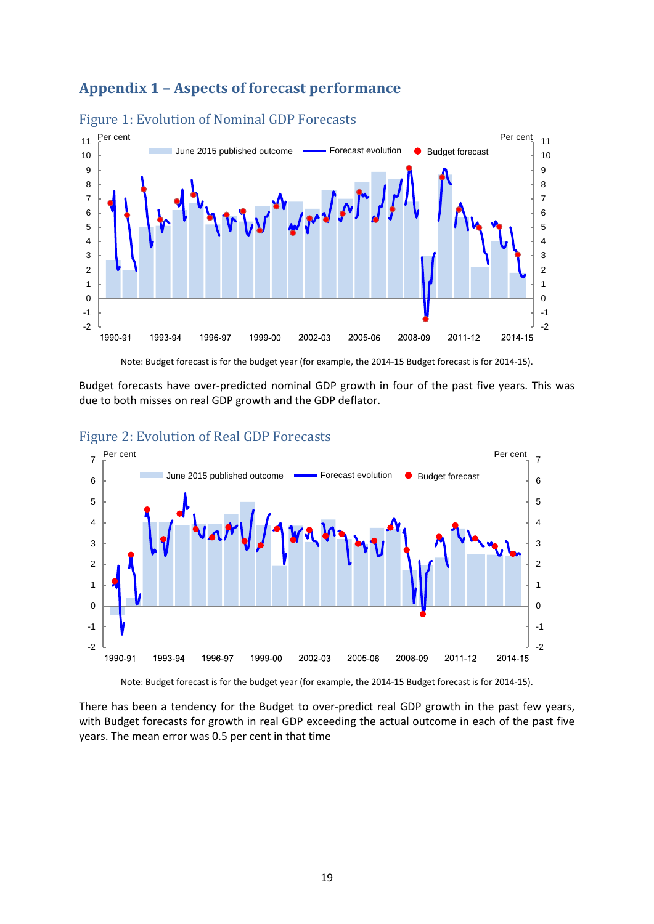# **Appendix 1 – Aspects of forecast performance**



### Figure 1: Evolution of Nominal GDP Forecasts

Note: Budget forecast is for the budget year (for example, the 2014-15 Budget forecast is for 2014-15).

Budget forecasts have over-predicted nominal GDP growth in four of the past five years. This was due to both misses on real GDP growth and the GDP deflator.



# Figure 2: Evolution of Real GDP Forecasts

Note: Budget forecast is for the budget year (for example, the 2014-15 Budget forecast is for 2014-15).

There has been a tendency for the Budget to over-predict real GDP growth in the past few years, with Budget forecasts for growth in real GDP exceeding the actual outcome in each of the past five years. The mean error was 0.5 per cent in that time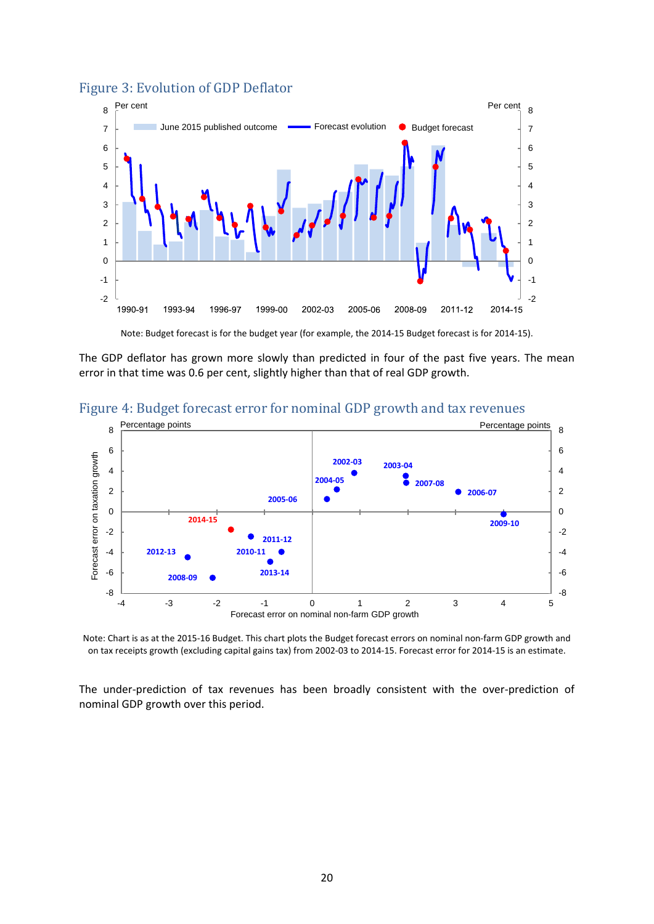### Figure 3: Evolution of GDP Deflator



Note: Budget forecast is for the budget year (for example, the 2014-15 Budget forecast is for 2014-15).

The GDP deflator has grown more slowly than predicted in four of the past five years. The mean error in that time was 0.6 per cent, slightly higher than that of real GDP growth.





Note: Chart is as at the 2015-16 Budget. This chart plots the Budget forecast errors on nominal non-farm GDP growth and on tax receipts growth (excluding capital gains tax) from 2002-03 to 2014-15. Forecast error for 2014-15 is an estimate.

The under-prediction of tax revenues has been broadly consistent with the over-prediction of nominal GDP growth over this period.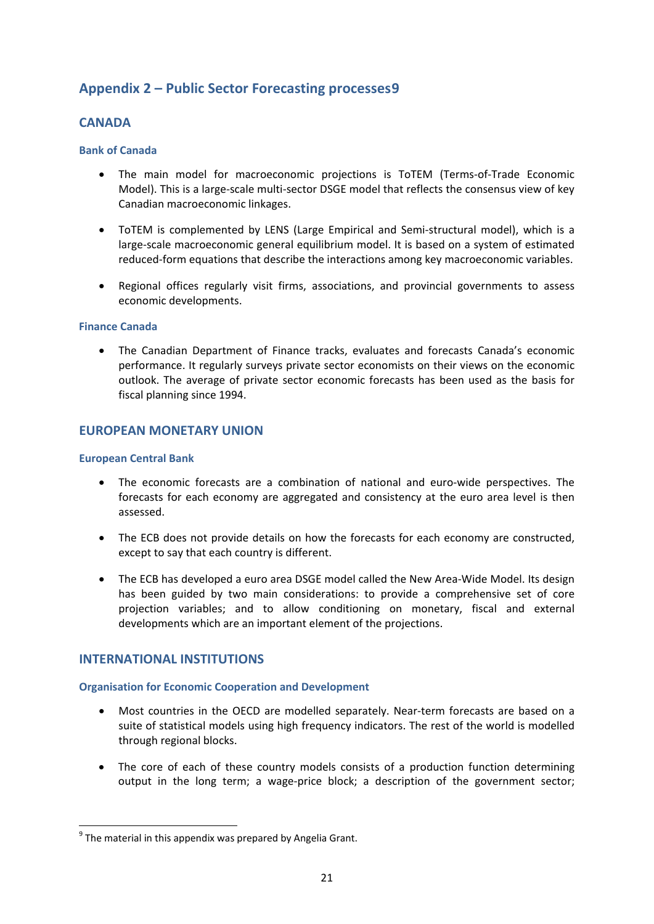# **Appendix 2 – Public Sector Forecasting processes[9](#page-20-0)**

# **CANADA**

### **Bank of Canada**

- The main model for macroeconomic projections is ToTEM (Terms-of-Trade Economic Model). This is a large-scale multi-sector DSGE model that reflects the consensus view of key Canadian macroeconomic linkages.
- ToTEM is complemented by LENS (Large Empirical and Semi-structural model), which is a large-scale macroeconomic general equilibrium model. It is based on a system of estimated reduced-form equations that describe the interactions among key macroeconomic variables.
- Regional offices regularly visit firms, associations, and provincial governments to assess economic developments.

### **Finance Canada**

• The Canadian Department of Finance tracks, evaluates and forecasts Canada's economic performance. It regularly surveys private sector economists on their views on the economic outlook. The average of private sector economic forecasts has been used as the basis for fiscal planning since 1994.

# **EUROPEAN MONETARY UNION**

### **European Central Bank**

- The economic forecasts are a combination of national and euro-wide perspectives. The forecasts for each economy are aggregated and consistency at the euro area level is then assessed.
- The ECB does not provide details on how the forecasts for each economy are constructed, except to say that each country is different.
- The ECB has developed a euro area DSGE model called the New Area-Wide Model. Its design has been guided by two main considerations: to provide a comprehensive set of core projection variables; and to allow conditioning on monetary, fiscal and external developments which are an important element of the projections.

# **INTERNATIONAL INSTITUTIONS**

### **Organisation for Economic Cooperation and Development**

- Most countries in the OECD are modelled separately. Near-term forecasts are based on a suite of statistical models using high frequency indicators. The rest of the world is modelled through regional blocks.
- The core of each of these country models consists of a production function determining output in the long term; a wage-price block; a description of the government sector;

<span id="page-20-0"></span> $9^9$  The material in this appendix was prepared by Angelia Grant.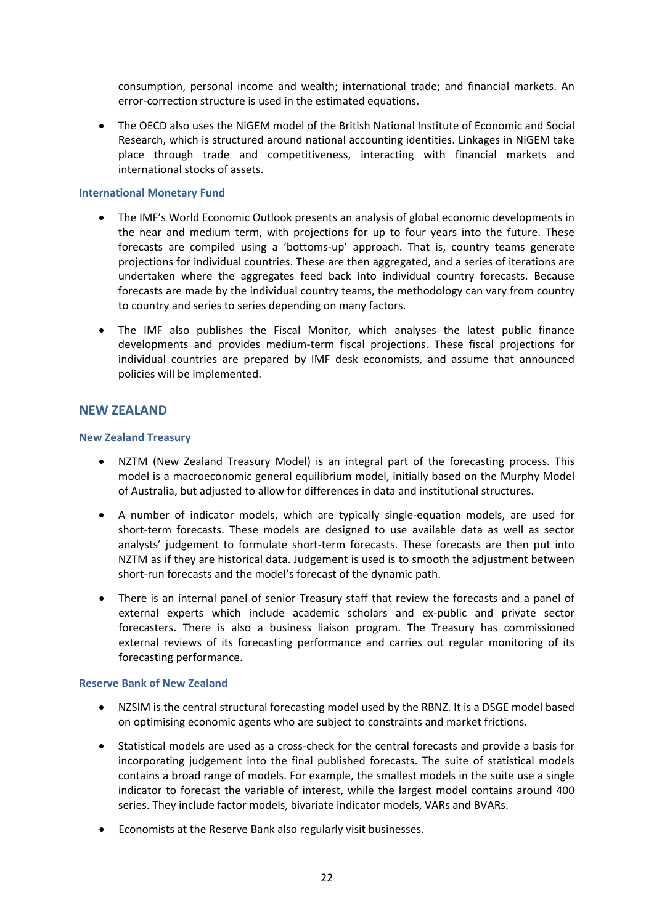consumption, personal income and wealth; international trade; and financial markets. An error-correction structure is used in the estimated equations.

• The OECD also uses the NiGEM model of the British National Institute of Economic and Social Research, which is structured around national accounting identities. Linkages in NiGEM take place through trade and competitiveness, interacting with financial markets and international stocks of assets.

#### **International Monetary Fund**

- The IMF's World Economic Outlook presents an analysis of global economic developments in the near and medium term, with projections for up to four years into the future. These forecasts are compiled using a 'bottoms-up' approach. That is, country teams generate projections for individual countries. These are then aggregated, and a series of iterations are undertaken where the aggregates feed back into individual country forecasts. Because forecasts are made by the individual country teams, the methodology can vary from country to country and series to series depending on many factors.
- The IMF also publishes the Fiscal Monitor, which analyses the latest public finance developments and provides medium-term fiscal projections. These fiscal projections for individual countries are prepared by IMF desk economists, and assume that announced policies will be implemented.

### **NEW ZEALAND**

#### **New Zealand Treasury**

- NZTM (New Zealand Treasury Model) is an integral part of the forecasting process. This model is a macroeconomic general equilibrium model, initially based on the Murphy Model of Australia, but adjusted to allow for differences in data and institutional structures.
- A number of indicator models, which are typically single-equation models, are used for short-term forecasts. These models are designed to use available data as well as sector analysts' judgement to formulate short-term forecasts. These forecasts are then put into NZTM as if they are historical data. Judgement is used is to smooth the adjustment between short-run forecasts and the model's forecast of the dynamic path.
- There is an internal panel of senior Treasury staff that review the forecasts and a panel of external experts which include academic scholars and ex-public and private sector forecasters. There is also a business liaison program. The Treasury has commissioned external reviews of its forecasting performance and carries out regular monitoring of its forecasting performance.

### **Reserve Bank of New Zealand**

- NZSIM is the central structural forecasting model used by the RBNZ. It is a DSGE model based on optimising economic agents who are subject to constraints and market frictions.
- Statistical models are used as a cross-check for the central forecasts and provide a basis for incorporating judgement into the final published forecasts. The suite of statistical models contains a broad range of models. For example, the smallest models in the suite use a single indicator to forecast the variable of interest, while the largest model contains around 400 series. They include factor models, bivariate indicator models, VARs and BVARs.
- Economists at the Reserve Bank also regularly visit businesses.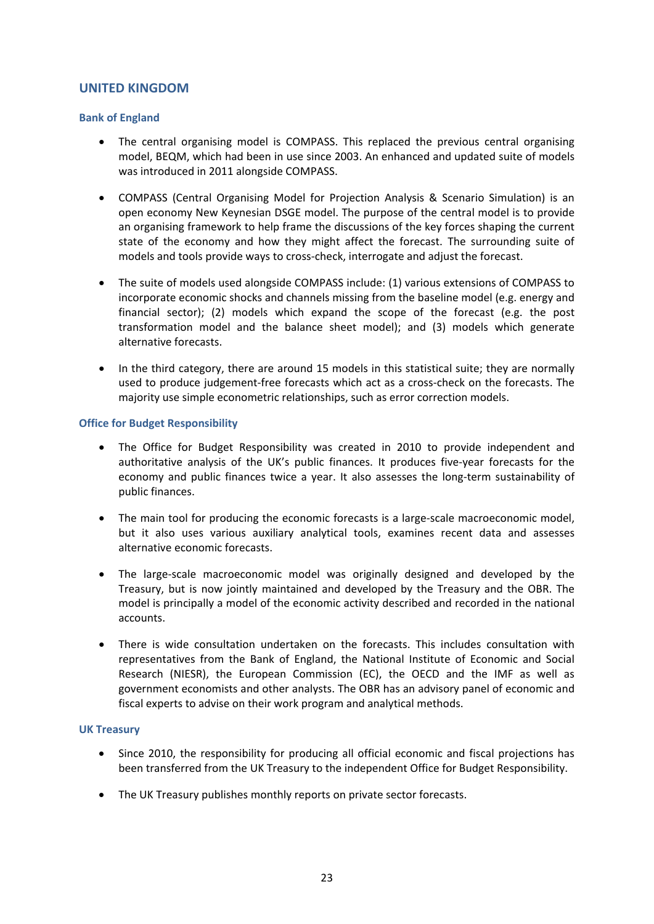### **UNITED KINGDOM**

### **Bank of England**

- The central organising model is COMPASS. This replaced the previous central organising model, BEQM, which had been in use since 2003. An enhanced and updated suite of models was introduced in 2011 alongside COMPASS.
- COMPASS (Central Organising Model for Projection Analysis & Scenario Simulation) is an open economy New Keynesian DSGE model. The purpose of the central model is to provide an organising framework to help frame the discussions of the key forces shaping the current state of the economy and how they might affect the forecast. The surrounding suite of models and tools provide ways to cross-check, interrogate and adjust the forecast.
- The suite of models used alongside COMPASS include: (1) various extensions of COMPASS to incorporate economic shocks and channels missing from the baseline model (e.g. energy and financial sector); (2) models which expand the scope of the forecast (e.g. the post transformation model and the balance sheet model); and (3) models which generate alternative forecasts.
- In the third category, there are around 15 models in this statistical suite; they are normally used to produce judgement-free forecasts which act as a cross-check on the forecasts. The majority use simple econometric relationships, such as error correction models.

### **Office for Budget Responsibility**

- The Office for Budget Responsibility was created in 2010 to provide independent and authoritative analysis of the UK's public finances. It produces five-year forecasts for the economy and public finances twice a year. It also assesses the long-term sustainability of public finances.
- The main tool for producing the economic forecasts is a large-scale macroeconomic model, but it also uses various auxiliary analytical tools, examines recent data and assesses alternative economic forecasts.
- The large-scale macroeconomic model was originally designed and developed by the Treasury, but is now jointly maintained and developed by the Treasury and the OBR. The model is principally a model of the economic activity described and recorded in the national accounts.
- There is wide consultation undertaken on the forecasts. This includes consultation with representatives from the Bank of England, the National Institute of Economic and Social Research (NIESR), the European Commission (EC), the OECD and the IMF as well as government economists and other analysts. The OBR has an advisory panel of economic and fiscal experts to advise on their work program and analytical methods.

### **UK Treasury**

- Since 2010, the responsibility for producing all official economic and fiscal projections has been transferred from the UK Treasury to the independent Office for Budget Responsibility.
- The UK Treasury publishes monthly reports on private sector forecasts.